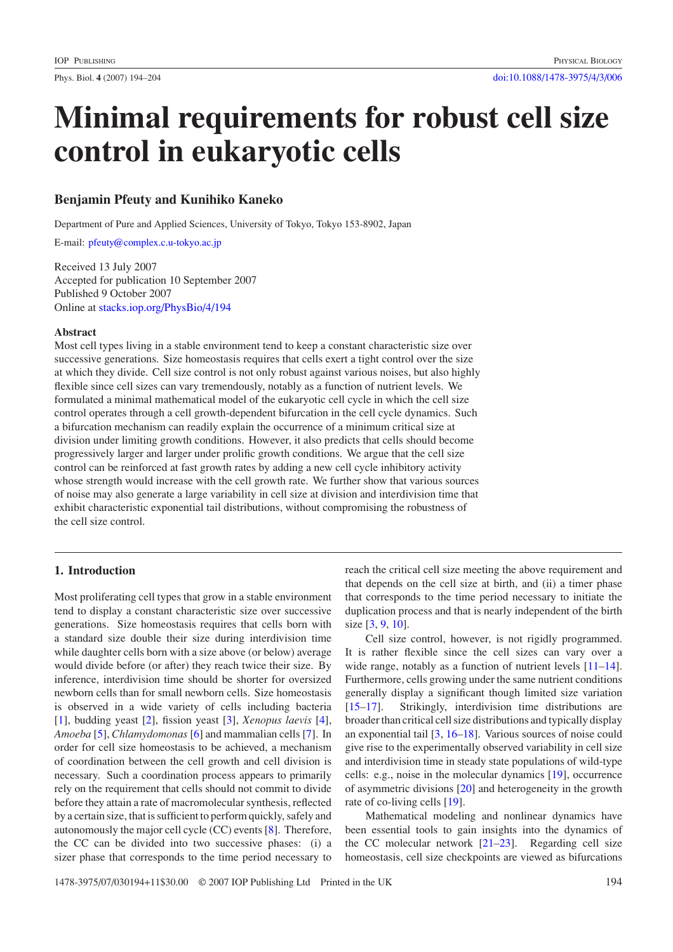# **Minimal requirements for robust cell size control in eukaryotic cells**

## **Benjamin Pfeuty and Kunihiko Kaneko**

Department of Pure and Applied Sciences, University of Tokyo, Tokyo 153-8902, Japan

E-mail: [pfeuty@complex.c.u-tokyo.ac.jp](mailto:pfeuty@complex.c.u-tokyo.ac.jp)

Received 13 July 2007 Accepted for publication 10 September 2007 Published 9 October 2007 Online at [stacks.iop.org/PhysBio/4/194](http://stacks.iop.org/PhysBio/4/194)

#### **Abstract**

Most cell types living in a stable environment tend to keep a constant characteristic size over successive generations. Size homeostasis requires that cells exert a tight control over the size at which they divide. Cell size control is not only robust against various noises, but also highly flexible since cell sizes can vary tremendously, notably as a function of nutrient levels. We formulated a minimal mathematical model of the eukaryotic cell cycle in which the cell size control operates through a cell growth-dependent bifurcation in the cell cycle dynamics. Such a bifurcation mechanism can readily explain the occurrence of a minimum critical size at division under limiting growth conditions. However, it also predicts that cells should become progressively larger and larger under prolific growth conditions. We argue that the cell size control can be reinforced at fast growth rates by adding a new cell cycle inhibitory activity whose strength would increase with the cell growth rate. We further show that various sources of noise may also generate a large variability in cell size at division and interdivision time that exhibit characteristic exponential tail distributions, without compromising the robustness of the cell size control.

## **1. Introduction**

Most proliferating cell types that grow in a stable environment tend to display a constant characteristic size over successive generations. Size homeostasis requires that cells born with a standard size double their size during interdivision time while daughter cells born with a size above (or below) average would divide before (or after) they reach twice their size. By inference, interdivision time should be shorter for oversized newborn cells than for small newborn cells. Size homeostasis is observed in a wide variety of cells including bacteria [\[1](#page-9-0)], budding yeast [\[2](#page-9-0)], fission yeast [\[3](#page-9-0)], *Xenopus laevis* [\[4](#page-9-0)], *Amoeba* [\[5](#page-9-0)], *Chlamydomonas* [\[6](#page-9-0)] and mammalian cells [\[7\]](#page-9-0). In order for cell size homeostasis to be achieved, a mechanism of coordination between the cell growth and cell division is necessary. Such a coordination process appears to primarily rely on the requirement that cells should not commit to divide before they attain a rate of macromolecular synthesis, reflected by a certain size, that is sufficient to perform quickly, safely and autonomously the major cell cycle (CC) events [\[8](#page-9-0)]. Therefore, the CC can be divided into two successive phases: (i) a sizer phase that corresponds to the time period necessary to

reach the critical cell size meeting the above requirement and that depends on the cell size at birth, and (ii) a timer phase that corresponds to the time period necessary to initiate the duplication process and that is nearly independent of the birth size [\[3](#page-9-0), [9](#page-9-0), [10](#page-9-0)].

Cell size control, however, is not rigidly programmed. It is rather flexible since the cell sizes can vary over a wide range, notably as a function of nutrient levels [\[11–14](#page-9-0)]. Furthermore, cells growing under the same nutrient conditions generally display a significant though limited size variation [\[15–17](#page-9-0)]. Strikingly, interdivision time distributions are broader than critical cell size distributions and typically display an exponential tail [\[3](#page-9-0), [16–18](#page-9-0)]. Various sources of noise could give rise to the experimentally observed variability in cell size and interdivision time in steady state populations of wild-type cells: e.g., noise in the molecular dynamics [\[19\]](#page-9-0), occurrence of asymmetric divisions [\[20](#page-9-0)] and heterogeneity in the growth rate of co-living cells [\[19\]](#page-9-0).

Mathematical modeling and nonlinear dynamics have been essential tools to gain insights into the dynamics of the CC molecular network [\[21–23\]](#page-9-0). Regarding cell size homeostasis, cell size checkpoints are viewed as bifurcations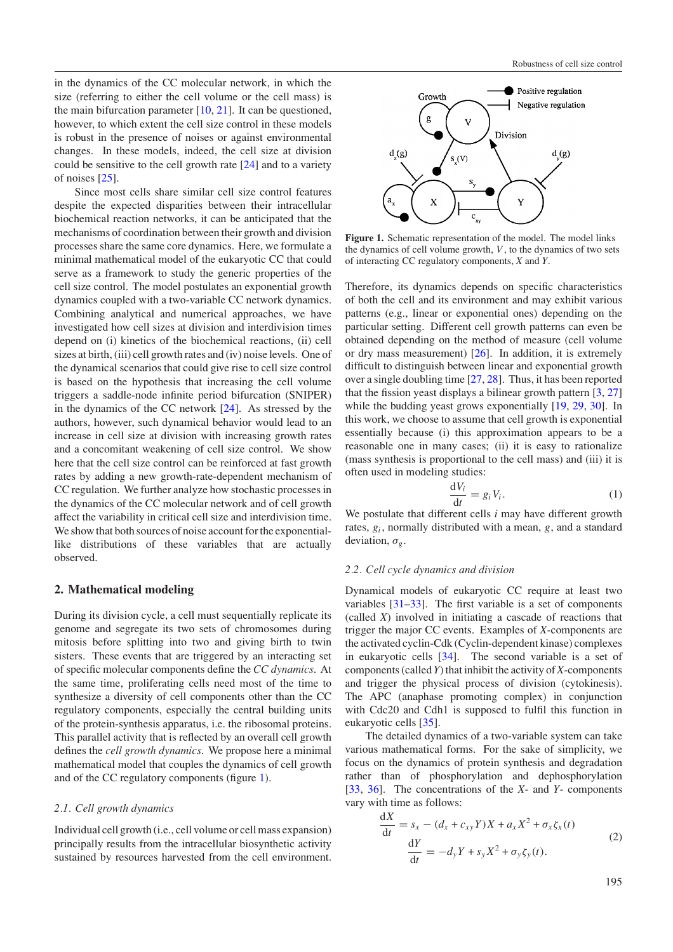<span id="page-1-0"></span>in the dynamics of the CC molecular network, in which the size (referring to either the cell volume or the cell mass) is the main bifurcation parameter [\[10,](#page-9-0) [21\]](#page-9-0). It can be questioned, however, to which extent the cell size control in these models is robust in the presence of noises or against environmental changes. In these models, indeed, the cell size at division could be sensitive to the cell growth rate [\[24](#page-9-0)] and to a variety of noises [\[25\]](#page-9-0).

Since most cells share similar cell size control features despite the expected disparities between their intracellular biochemical reaction networks, it can be anticipated that the mechanisms of coordination between their growth and division processes share the same core dynamics. Here, we formulate a minimal mathematical model of the eukaryotic CC that could serve as a framework to study the generic properties of the cell size control. The model postulates an exponential growth dynamics coupled with a two-variable CC network dynamics. Combining analytical and numerical approaches, we have investigated how cell sizes at division and interdivision times depend on (i) kinetics of the biochemical reactions, (ii) cell sizes at birth, (iii) cell growth rates and (iv) noise levels. One of the dynamical scenarios that could give rise to cell size control is based on the hypothesis that increasing the cell volume triggers a saddle-node infinite period bifurcation (SNIPER) in the dynamics of the CC network [\[24\]](#page-9-0). As stressed by the authors, however, such dynamical behavior would lead to an increase in cell size at division with increasing growth rates and a concomitant weakening of cell size control. We show here that the cell size control can be reinforced at fast growth rates by adding a new growth-rate-dependent mechanism of CC regulation. We further analyze how stochastic processes in the dynamics of the CC molecular network and of cell growth affect the variability in critical cell size and interdivision time. We show that both sources of noise account for the exponentiallike distributions of these variables that are actually observed.

#### **2. Mathematical modeling**

During its division cycle, a cell must sequentially replicate its genome and segregate its two sets of chromosomes during mitosis before splitting into two and giving birth to twin sisters. These events that are triggered by an interacting set of specific molecular components define the *CC dynamics*. At the same time, proliferating cells need most of the time to synthesize a diversity of cell components other than the CC regulatory components, especially the central building units of the protein-synthesis apparatus, i.e. the ribosomal proteins. This parallel activity that is reflected by an overall cell growth defines the *cell growth dynamics*. We propose here a minimal mathematical model that couples the dynamics of cell growth and of the CC regulatory components (figure 1).

#### *2.1. Cell growth dynamics*

Individual cell growth (i.e., cell volume or cell mass expansion) principally results from the intracellular biosynthetic activity sustained by resources harvested from the cell environment.



**Figure 1.** Schematic representation of the model. The model links the dynamics of cell volume growth, *V* , to the dynamics of two sets of interacting CC regulatory components, *X* and *Y*.

Therefore, its dynamics depends on specific characteristics of both the cell and its environment and may exhibit various patterns (e.g., linear or exponential ones) depending on the particular setting. Different cell growth patterns can even be obtained depending on the method of measure (cell volume or dry mass measurement) [\[26\]](#page-9-0). In addition, it is extremely difficult to distinguish between linear and exponential growth over a single doubling time [\[27](#page-9-0), [28\]](#page-10-0). Thus, it has been reported that the fission yeast displays a bilinear growth pattern [\[3](#page-9-0), [27\]](#page-9-0) while the budding yeast grows exponentially [\[19,](#page-9-0) [29](#page-10-0), [30\]](#page-10-0). In this work, we choose to assume that cell growth is exponential essentially because (i) this approximation appears to be a reasonable one in many cases; (ii) it is easy to rationalize (mass synthesis is proportional to the cell mass) and (iii) it is often used in modeling studies:

$$
\frac{\mathrm{d}V_i}{\mathrm{d}t} = g_i V_i. \tag{1}
$$

We postulate that different cells *i* may have different growth rates, *gi*, normally distributed with a mean, *g*, and a standard deviation, *σg*.

#### *2.2. Cell cycle dynamics and division*

Dynamical models of eukaryotic CC require at least two variables [\[31–33\]](#page-10-0). The first variable is a set of components (called *X*) involved in initiating a cascade of reactions that trigger the major CC events. Examples of *X*-components are the activated cyclin-Cdk (Cyclin-dependent kinase) complexes in eukaryotic cells [\[34\]](#page-10-0). The second variable is a set of components (called *Y*) that inhibit the activity of *X*-components and trigger the physical process of division (cytokinesis). The APC (anaphase promoting complex) in conjunction with Cdc20 and Cdh1 is supposed to fulfil this function in eukaryotic cells [\[35\]](#page-10-0).

The detailed dynamics of a two-variable system can take various mathematical forms. For the sake of simplicity, we focus on the dynamics of protein synthesis and degradation rather than of phosphorylation and dephosphorylation [\[33](#page-10-0), [36](#page-10-0)]. The concentrations of the *X*- and *Y*- components vary with time as follows:

$$
\frac{dX}{dt} = s_x - (d_x + c_{xy}Y)X + a_xX^2 + \sigma_x\zeta_x(t)
$$
\n
$$
\frac{dY}{dt} = -d_yY + s_yX^2 + \sigma_y\zeta_y(t).
$$
\n(2)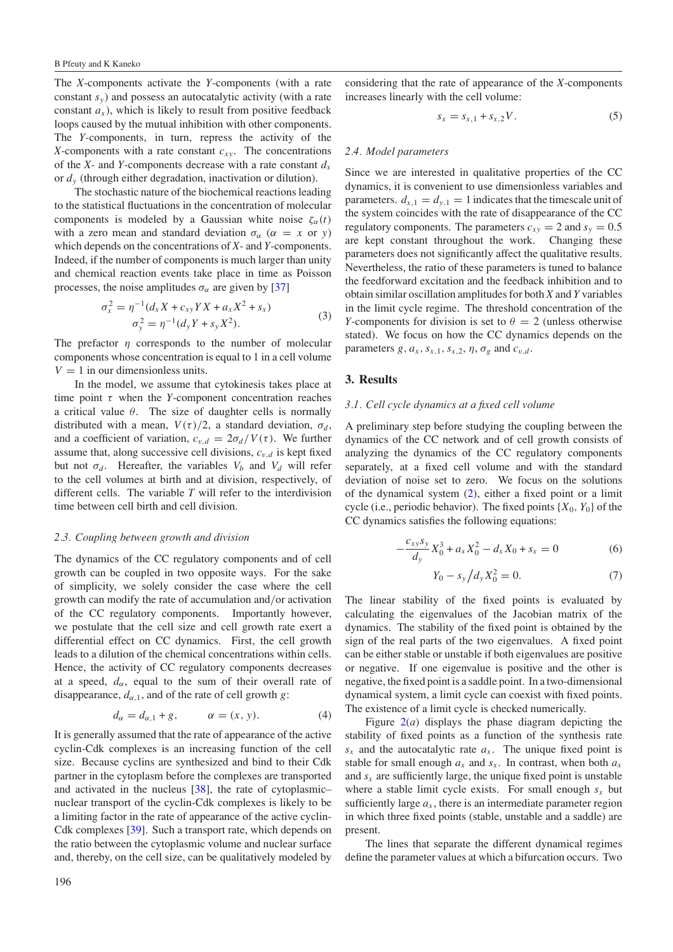<span id="page-2-0"></span>The *X*-components activate the *Y*-components (with a rate constant *sy* ) and possess an autocatalytic activity (with a rate constant  $a<sub>x</sub>$ ), which is likely to result from positive feedback loops caused by the mutual inhibition with other components. The *Y*-components, in turn, repress the activity of the *X*-components with a rate constant  $c_{xy}$ . The concentrations of the *X*- and *Y*-components decrease with a rate constant *dx* or *dy* (through either degradation, inactivation or dilution).

The stochastic nature of the biochemical reactions leading to the statistical fluctuations in the concentration of molecular components is modeled by a Gaussian white noise  $\zeta_{\alpha}(t)$ with a zero mean and standard deviation  $\sigma_{\alpha}$  ( $\alpha = x$  or *y*) which depends on the concentrations of *X*- and *Y*-components. Indeed, if the number of components is much larger than unity and chemical reaction events take place in time as Poisson processes, the noise amplitudes  $\sigma_{\alpha}$  are given by [\[37\]](#page-10-0)

$$
\sigma_x^2 = \eta^{-1} (d_x X + c_{xy} Y X + a_x X^2 + s_x)
$$
  
\n
$$
\sigma_y^2 = \eta^{-1} (d_y Y + s_y X^2).
$$
\n(3)

The prefactor  $\eta$  corresponds to the number of molecular components whose concentration is equal to 1 in a cell volume  $V = 1$  in our dimensionless units.

In the model, we assume that cytokinesis takes place at time point  $\tau$  when the *Y*-component concentration reaches a critical value *θ*. The size of daughter cells is normally distributed with a mean,  $V(\tau)/2$ , a standard deviation,  $\sigma_d$ , and a coefficient of variation,  $c_{v,d} = 2\sigma_d/V(\tau)$ . We further assume that, along successive cell divisions,  $c_{v,d}$  is kept fixed but not  $\sigma_d$ . Hereafter, the variables  $V_b$  and  $V_d$  will refer to the cell volumes at birth and at division, respectively, of different cells. The variable *T* will refer to the interdivision time between cell birth and cell division.

## *2.3. Coupling between growth and division*

The dynamics of the CC regulatory components and of cell growth can be coupled in two opposite ways. For the sake of simplicity, we solely consider the case where the cell growth can modify the rate of accumulation and*/*or activation of the CC regulatory components. Importantly however, we postulate that the cell size and cell growth rate exert a differential effect on CC dynamics. First, the cell growth leads to a dilution of the chemical concentrations within cells. Hence, the activity of CC regulatory components decreases at a speed,  $d_{\alpha}$ , equal to the sum of their overall rate of disappearance,  $d_{\alpha,1}$ , and of the rate of cell growth *g*:

$$
d_{\alpha} = d_{\alpha,1} + g, \qquad \alpha = (x, y). \tag{4}
$$

It is generally assumed that the rate of appearance of the active cyclin-Cdk complexes is an increasing function of the cell size. Because cyclins are synthesized and bind to their Cdk partner in the cytoplasm before the complexes are transported and activated in the nucleus [\[38](#page-10-0)], the rate of cytoplasmic– nuclear transport of the cyclin-Cdk complexes is likely to be a limiting factor in the rate of appearance of the active cyclin-Cdk complexes [\[39](#page-10-0)]. Such a transport rate, which depends on the ratio between the cytoplasmic volume and nuclear surface and, thereby, on the cell size, can be qualitatively modeled by considering that the rate of appearance of the *X*-components increases linearly with the cell volume:

$$
s_x = s_{x,1} + s_{x,2}V. \t\t(5)
$$

#### *2.4. Model parameters*

Since we are interested in qualitative properties of the CC dynamics, it is convenient to use dimensionless variables and parameters.  $d_{x,1} = d_{y,1} = 1$  indicates that the timescale unit of the system coincides with the rate of disappearance of the CC regulatory components. The parameters  $c_{xy} = 2$  and  $s_y = 0.5$ are kept constant throughout the work. Changing these parameters does not significantly affect the qualitative results. Nevertheless, the ratio of these parameters is tuned to balance the feedforward excitation and the feedback inhibition and to obtain similar oscillation amplitudes for both *X* and *Y* variables in the limit cycle regime. The threshold concentration of the *Y*-components for division is set to  $\theta = 2$  (unless otherwise stated). We focus on how the CC dynamics depends on the parameters  $g, a_x, s_{x,1}, s_{x,2}, \eta, \sigma_g$  and  $c_{v,d}$ .

#### **3. Results**

## *3.1. Cell cycle dynamics at a fixed cell volume*

A preliminary step before studying the coupling between the dynamics of the CC network and of cell growth consists of analyzing the dynamics of the CC regulatory components separately, at a fixed cell volume and with the standard deviation of noise set to zero. We focus on the solutions of the dynamical system [\(2\)](#page-1-0), either a fixed point or a limit cycle (i.e., periodic behavior). The fixed points {*X*0*, Y*0} of the CC dynamics satisfies the following equations:

$$
-\frac{c_{xy}s_y}{d_y}X_0^3 + a_xX_0^2 - d_xX_0 + s_x = 0
$$
 (6)

$$
Y_0 - s_y \big/ d_y X_0^2 = 0. \tag{7}
$$

The linear stability of the fixed points is evaluated by calculating the eigenvalues of the Jacobian matrix of the dynamics. The stability of the fixed point is obtained by the sign of the real parts of the two eigenvalues. A fixed point can be either stable or unstable if both eigenvalues are positive or negative. If one eigenvalue is positive and the other is negative, the fixed point is a saddle point. In a two-dimensional dynamical system, a limit cycle can coexist with fixed points. The existence of a limit cycle is checked numerically.

Figure  $2(a)$  $2(a)$  displays the phase diagram depicting the stability of fixed points as a function of the synthesis rate  $s_x$  and the autocatalytic rate  $a_x$ . The unique fixed point is stable for small enough  $a_x$  and  $s_x$ . In contrast, when both  $a_x$ and  $s<sub>x</sub>$  are sufficiently large, the unique fixed point is unstable where a stable limit cycle exists. For small enough  $s_x$  but sufficiently large  $a_x$ , there is an intermediate parameter region in which three fixed points (stable, unstable and a saddle) are present.

The lines that separate the different dynamical regimes define the parameter values at which a bifurcation occurs. Two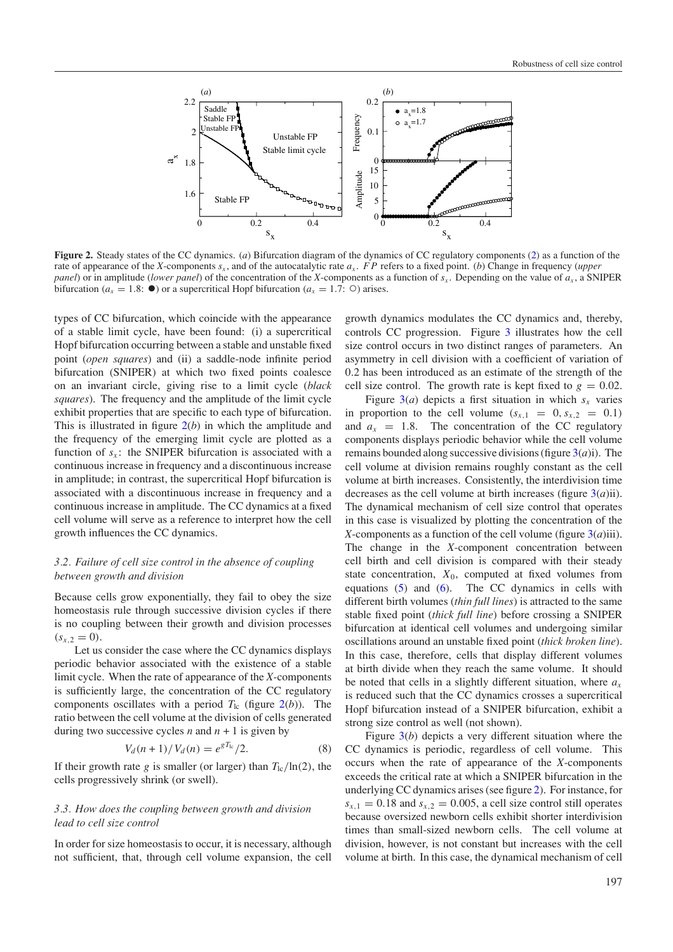<span id="page-3-0"></span>

**Figure 2.** Steady states of the CC dynamics. (*a*) Bifurcation diagram of the dynamics of CC regulatory components [\(2\)](#page-1-0) as a function of the rate of appearance of the *X*-components  $s_x$ , and of the autocatalytic rate  $a_x$ . FP refers to a fixed point. (*b*) Change in frequency (*upper panel*) or in amplitude (*lower panel*) of the concentration of the *X*-components as a function of  $s_x$ . Depending on the value of  $a_x$ , a SNIPER bifurcation  $(a_x = 1.8: \bullet)$  or a supercritical Hopf bifurcation  $(a_x = 1.7: \circ)$  arises.

types of CC bifurcation, which coincide with the appearance of a stable limit cycle, have been found: (i) a supercritical Hopf bifurcation occurring between a stable and unstable fixed point (*open squares*) and (ii) a saddle-node infinite period bifurcation (SNIPER) at which two fixed points coalesce on an invariant circle, giving rise to a limit cycle (*black squares*). The frequency and the amplitude of the limit cycle exhibit properties that are specific to each type of bifurcation. This is illustrated in figure 2(*b*) in which the amplitude and the frequency of the emerging limit cycle are plotted as a function of  $s_x$ : the SNIPER bifurcation is associated with a continuous increase in frequency and a discontinuous increase in amplitude; in contrast, the supercritical Hopf bifurcation is associated with a discontinuous increase in frequency and a continuous increase in amplitude. The CC dynamics at a fixed cell volume will serve as a reference to interpret how the cell growth influences the CC dynamics.

## *3.2. Failure of cell size control in the absence of coupling between growth and division*

Because cells grow exponentially, they fail to obey the size homeostasis rule through successive division cycles if there is no coupling between their growth and division processes  $(s_{x,2}=0)$ .

Let us consider the case where the CC dynamics displays periodic behavior associated with the existence of a stable limit cycle. When the rate of appearance of the *X*-components is sufficiently large, the concentration of the CC regulatory components oscillates with a period  $T_{1c}$  (figure 2(*b*)). The ratio between the cell volume at the division of cells generated during two successive cycles  $n$  and  $n + 1$  is given by

$$
V_d(n+1)/V_d(n) = e^{gT_{lc}}/2.
$$
 (8)

If their growth rate *g* is smaller (or larger) than  $T_{\text{lc}}/\text{ln}(2)$ , the cells progressively shrink (or swell).

## *3.3. How does the coupling between growth and division lead to cell size control*

In order for size homeostasis to occur, it is necessary, although not sufficient, that, through cell volume expansion, the cell

growth dynamics modulates the CC dynamics and, thereby, controls CC progression. Figure [3](#page-4-0) illustrates how the cell size control occurs in two distinct ranges of parameters. An asymmetry in cell division with a coefficient of variation of 0*.*2 has been introduced as an estimate of the strength of the cell size control. The growth rate is kept fixed to  $g = 0.02$ .

Figure  $3(a)$  $3(a)$  depicts a first situation in which  $s<sub>x</sub>$  varies in proportion to the cell volume  $(s_{x,1} = 0, s_{x,2} = 0.1)$ and  $a_x = 1.8$ . The concentration of the CC regulatory components displays periodic behavior while the cell volume remains bounded along successive divisions (figure [3\(](#page-4-0)*a*)i). The cell volume at division remains roughly constant as the cell volume at birth increases. Consistently, the interdivision time decreases as the cell volume at birth increases (figure [3\(](#page-4-0)*a*)ii). The dynamical mechanism of cell size control that operates in this case is visualized by plotting the concentration of the *X*-components as a function of the cell volume (figure [3\(](#page-4-0)*a*)iii). The change in the *X*-component concentration between cell birth and cell division is compared with their steady state concentration,  $X_0$ , computed at fixed volumes from equations  $(5)$  and  $(6)$ . The CC dynamics in cells with different birth volumes (*thin full lines*) is attracted to the same stable fixed point (*thick full line*) before crossing a SNIPER bifurcation at identical cell volumes and undergoing similar oscillations around an unstable fixed point (*thick broken line*). In this case, therefore, cells that display different volumes at birth divide when they reach the same volume. It should be noted that cells in a slightly different situation, where  $a_x$ is reduced such that the CC dynamics crosses a supercritical Hopf bifurcation instead of a SNIPER bifurcation, exhibit a strong size control as well (not shown).

Figure [3\(](#page-4-0)*b*) depicts a very different situation where the CC dynamics is periodic, regardless of cell volume. This occurs when the rate of appearance of the *X*-components exceeds the critical rate at which a SNIPER bifurcation in the underlying CC dynamics arises (see figure 2). For instance, for  $s_{x,1} = 0.18$  and  $s_{x,2} = 0.005$ , a cell size control still operates because oversized newborn cells exhibit shorter interdivision times than small-sized newborn cells. The cell volume at division, however, is not constant but increases with the cell volume at birth. In this case, the dynamical mechanism of cell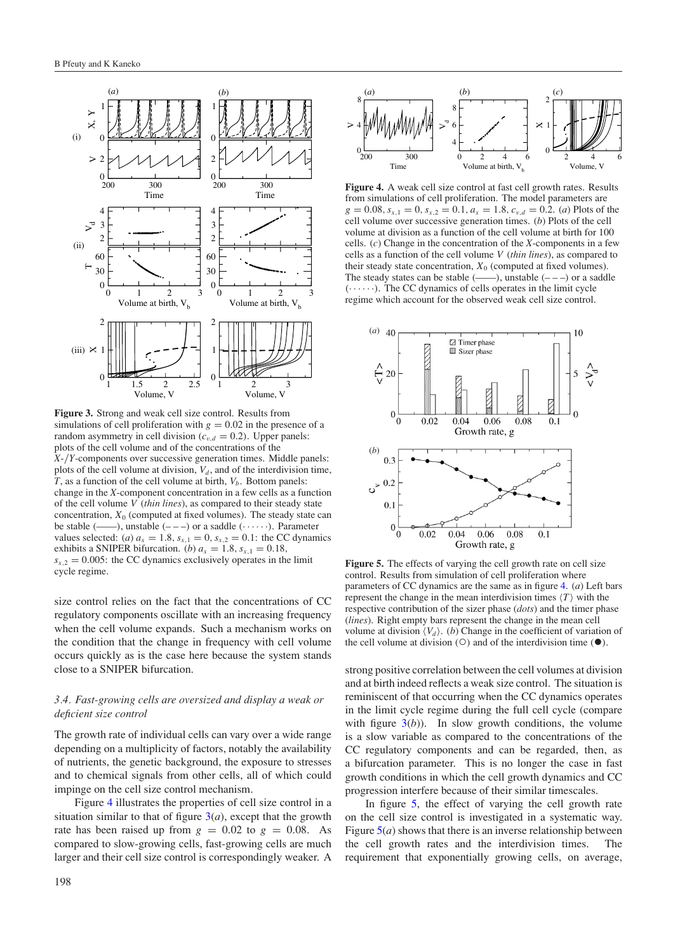<span id="page-4-0"></span>

**Figure 3.** Strong and weak cell size control. Results from simulations of cell proliferation with  $g = 0.02$  in the presence of a random asymmetry in cell division  $(c_{v,d} = 0.2)$ . Upper panels: plots of the cell volume and of the concentrations of the *X*-*/Y*-components over successive generation times. Middle panels: plots of the cell volume at division,  $V_d$ , and of the interdivision time, *T*, as a function of the cell volume at birth,  $V<sub>b</sub>$ . Bottom panels: change in the *X*-component concentration in a few cells as a function of the cell volume *V* (*thin lines*), as compared to their steady state concentration,  $X_0$  (computed at fixed volumes). The steady state can be stable  $(\_\_)$ , unstable  $(-\_\)$  or a saddle  $(\dots \dots)$ . Parameter values selected: (*a*)  $a_x = 1.8$ ,  $s_{x,1} = 0$ ,  $s_{x,2} = 0.1$ : the CC dynamics exhibits a SNIPER bifurcation. (*b*)  $a_x = 1.8, s_{x,1} = 0.18$ ,  $s_{x,2} = 0.005$ : the CC dynamics exclusively operates in the limit cycle regime.

size control relies on the fact that the concentrations of CC regulatory components oscillate with an increasing frequency when the cell volume expands. Such a mechanism works on the condition that the change in frequency with cell volume occurs quickly as is the case here because the system stands close to a SNIPER bifurcation.

## *3.4. Fast-growing cells are oversized and display a weak or deficient size control*

The growth rate of individual cells can vary over a wide range depending on a multiplicity of factors, notably the availability of nutrients, the genetic background, the exposure to stresses and to chemical signals from other cells, all of which could impinge on the cell size control mechanism.

Figure 4 illustrates the properties of cell size control in a situation similar to that of figure  $3(a)$ , except that the growth rate has been raised up from  $g = 0.02$  to  $g = 0.08$ . As compared to slow-growing cells, fast-growing cells are much larger and their cell size control is correspondingly weaker. A

**Figure 4.** A weak cell size control at fast cell growth rates. Results from simulations of cell proliferation. The model parameters are  $g = 0.08, s_{x,1} = 0, s_{x,2} = 0.1, a_x = 1.8, c_{v,d} = 0.2$ . (*a*) Plots of the cell volume over successive generation times. (*b*) Plots of the cell volume at division as a function of the cell volume at birth for 100 cells. (*c*) Change in the concentration of the *X*-components in a few cells as a function of the cell volume *V* (*thin lines*), as compared to their steady state concentration,  $X_0$  (computed at fixed volumes). The steady states can be stable  $(\_\_)$ , unstable  $(\_\_)$  or a saddle *(*······*)*. The CC dynamics of cells operates in the limit cycle regime which account for the observed weak cell size control.



Figure 5. The effects of varying the cell growth rate on cell size control. Results from simulation of cell proliferation where parameters of CC dynamics are the same as in figure 4. (*a*) Left bars represent the change in the mean interdivision times  $\langle T \rangle$  with the respective contribution of the sizer phase (*dots*) and the timer phase (*lines*). Right empty bars represent the change in the mean cell volume at division  $\langle V_d \rangle$ . (*b*) Change in the coefficient of variation of the cell volume at division  $(O)$  and of the interdivision time  $(①)$ .

strong positive correlation between the cell volumes at division and at birth indeed reflects a weak size control. The situation is reminiscent of that occurring when the CC dynamics operates in the limit cycle regime during the full cell cycle (compare with figure  $3(b)$ ). In slow growth conditions, the volume is a slow variable as compared to the concentrations of the CC regulatory components and can be regarded, then, as a bifurcation parameter. This is no longer the case in fast growth conditions in which the cell growth dynamics and CC progression interfere because of their similar timescales.

In figure 5, the effect of varying the cell growth rate on the cell size control is investigated in a systematic way. Figure  $5(a)$  shows that there is an inverse relationship between the cell growth rates and the interdivision times. The requirement that exponentially growing cells, on average,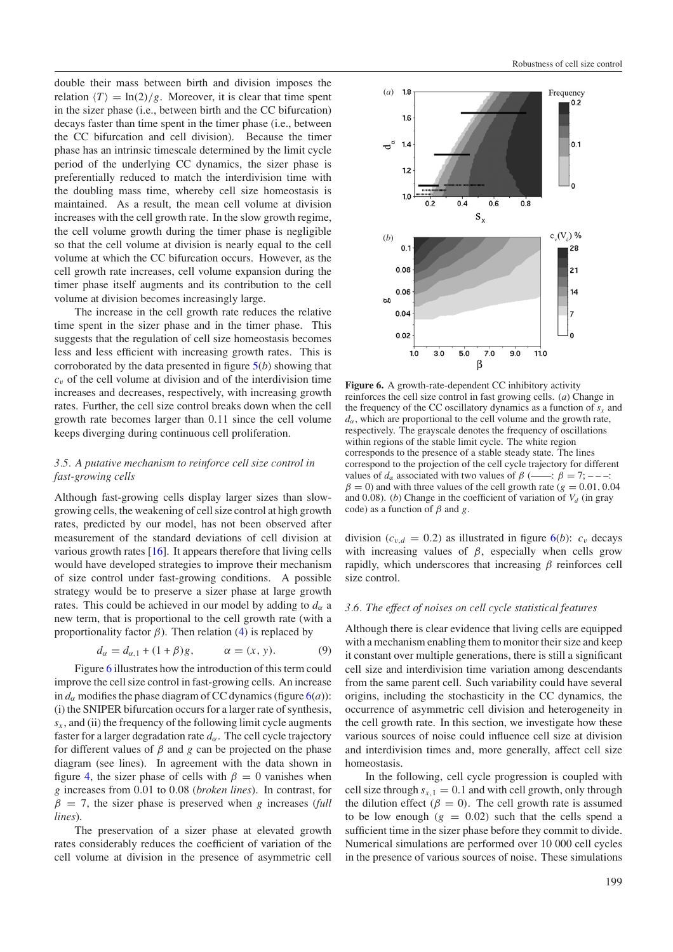<span id="page-5-0"></span>double their mass between birth and division imposes the relation  $\langle T \rangle = \ln(2)/g$ . Moreover, it is clear that time spent in the sizer phase (i.e., between birth and the CC bifurcation) decays faster than time spent in the timer phase (i.e., between the CC bifurcation and cell division). Because the timer phase has an intrinsic timescale determined by the limit cycle period of the underlying CC dynamics, the sizer phase is preferentially reduced to match the interdivision time with the doubling mass time, whereby cell size homeostasis is maintained. As a result, the mean cell volume at division increases with the cell growth rate. In the slow growth regime, the cell volume growth during the timer phase is negligible so that the cell volume at division is nearly equal to the cell volume at which the CC bifurcation occurs. However, as the cell growth rate increases, cell volume expansion during the timer phase itself augments and its contribution to the cell volume at division becomes increasingly large.

The increase in the cell growth rate reduces the relative time spent in the sizer phase and in the timer phase. This suggests that the regulation of cell size homeostasis becomes less and less efficient with increasing growth rates. This is corroborated by the data presented in figure [5\(](#page-4-0)*b*) showing that  $c<sub>v</sub>$  of the cell volume at division and of the interdivision time increases and decreases, respectively, with increasing growth rates. Further, the cell size control breaks down when the cell growth rate becomes larger than 0*.*11 since the cell volume keeps diverging during continuous cell proliferation.

## *3.5. A putative mechanism to reinforce cell size control in fast-growing cells*

Although fast-growing cells display larger sizes than slowgrowing cells, the weakening of cell size control at high growth rates, predicted by our model, has not been observed after measurement of the standard deviations of cell division at various growth rates [\[16\]](#page-9-0). It appears therefore that living cells would have developed strategies to improve their mechanism of size control under fast-growing conditions. A possible strategy would be to preserve a sizer phase at large growth rates. This could be achieved in our model by adding to  $d_{\alpha}$  a new term, that is proportional to the cell growth rate (with a proportionality factor  $\beta$ ). Then relation [\(4\)](#page-2-0) is replaced by

$$
d_{\alpha} = d_{\alpha,1} + (1 + \beta)g, \qquad \alpha = (x, y).
$$
 (9)

Figure 6 illustrates how the introduction of this term could improve the cell size control in fast-growing cells. An increase in  $d_{\alpha}$  modifies the phase diagram of CC dynamics (figure  $6(a)$ ): (i) the SNIPER bifurcation occurs for a larger rate of synthesis,  $s<sub>x</sub>$ , and (ii) the frequency of the following limit cycle augments faster for a larger degradation rate  $d_{\alpha}$ . The cell cycle trajectory for different values of  $\beta$  and  $\beta$  can be projected on the phase diagram (see lines). In agreement with the data shown in figure [4,](#page-4-0) the sizer phase of cells with  $\beta = 0$  vanishes when *g* increases from 0*.*01 to 0*.*08 (*broken lines*). In contrast, for  $\beta = 7$ , the sizer phase is preserved when *g* increases (*full lines*).

The preservation of a sizer phase at elevated growth rates considerably reduces the coefficient of variation of the cell volume at division in the presence of asymmetric cell



**Figure 6.** A growth-rate-dependent CC inhibitory activity reinforces the cell size control in fast growing cells. (*a*) Change in the frequency of the CC oscillatory dynamics as a function of  $s<sub>x</sub>$  and  $d_{\alpha}$ , which are proportional to the cell volume and the growth rate, respectively. The grayscale denotes the frequency of oscillations within regions of the stable limit cycle. The white region corresponds to the presence of a stable steady state. The lines correspond to the projection of the cell cycle trajectory for different values of  $d_{\alpha}$  associated with two values of  $\beta$  (——:  $\beta = 7$ ; – – –:  $\beta = 0$ ) and with three values of the cell growth rate ( $g = 0.01, 0.04$ ) and 0.08). (*b*) Change in the coefficient of variation of  $V_d$  (in gray code) as a function of *β* and *g*.

division  $(c_{v,d} = 0.2)$  as illustrated in figure  $6(b)$ :  $c_v$  decays with increasing values of  $\beta$ , especially when cells grow rapidly, which underscores that increasing *β* reinforces cell size control.

#### *3.6. The effect of noises on cell cycle statistical features*

Although there is clear evidence that living cells are equipped with a mechanism enabling them to monitor their size and keep it constant over multiple generations, there is still a significant cell size and interdivision time variation among descendants from the same parent cell. Such variability could have several origins, including the stochasticity in the CC dynamics, the occurrence of asymmetric cell division and heterogeneity in the cell growth rate. In this section, we investigate how these various sources of noise could influence cell size at division and interdivision times and, more generally, affect cell size homeostasis.

In the following, cell cycle progression is coupled with cell size through  $s_{r,1} = 0.1$  and with cell growth, only through the dilution effect  $(\beta = 0)$ . The cell growth rate is assumed to be low enough  $(g = 0.02)$  such that the cells spend a sufficient time in the sizer phase before they commit to divide. Numerical simulations are performed over 10 000 cell cycles in the presence of various sources of noise. These simulations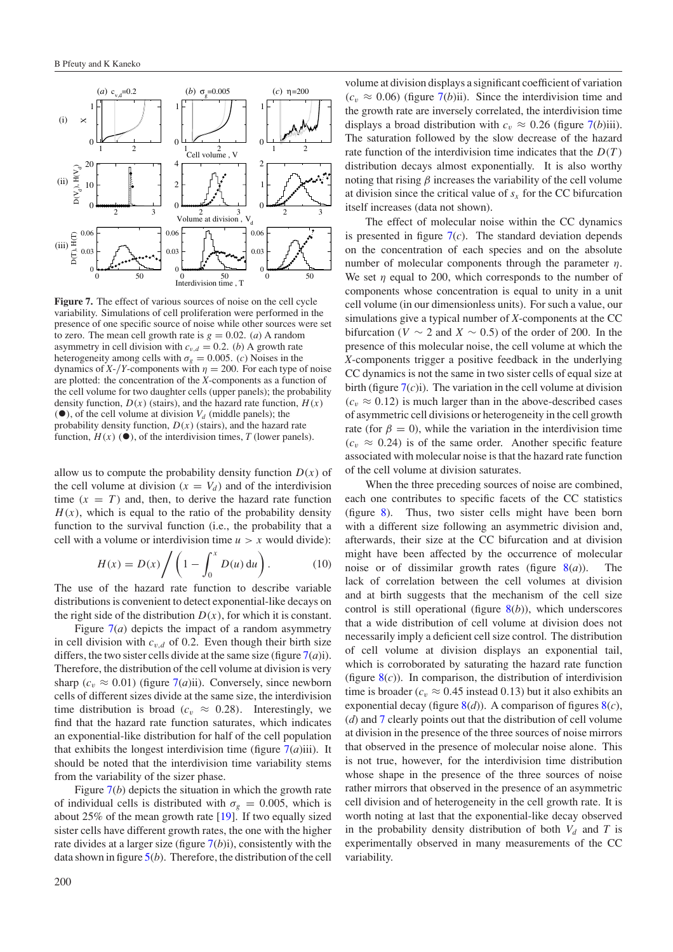<span id="page-6-0"></span>

**Figure 7.** The effect of various sources of noise on the cell cycle variability. Simulations of cell proliferation were performed in the presence of one specific source of noise while other sources were set to zero. The mean cell growth rate is  $g = 0.02$ . (*a*) A random asymmetry in cell division with  $c_{v,d} = 0.2$ . (*b*) A growth rate heterogeneity among cells with  $\sigma_{\varrho} = 0.005$ . (*c*) Noises in the dynamics of *X*-/*Y*-components with  $\eta = 200$ . For each type of noise are plotted: the concentration of the *X*-components as a function of the cell volume for two daughter cells (upper panels); the probability density function,  $D(x)$  (stairs), and the hazard rate function,  $H(x)$  $(•)$ , of the cell volume at division  $V_d$  (middle panels); the probability density function,  $D(x)$  (stairs), and the hazard rate function,  $H(x)$  ( $\bullet$ ), of the interdivision times, *T* (lower panels).

allow us to compute the probability density function  $D(x)$  of the cell volume at division  $(x = V_d)$  and of the interdivision time  $(x = T)$  and, then, to derive the hazard rate function  $H(x)$ , which is equal to the ratio of the probability density function to the survival function (i.e., the probability that a cell with a volume or interdivision time  $u > x$  would divide):

$$
H(x) = D(x) / \left(1 - \int_0^x D(u) \, \mathrm{d}u\right). \tag{10}
$$

The use of the hazard rate function to describe variable distributions is convenient to detect exponential-like decays on the right side of the distribution  $D(x)$ , for which it is constant.

Figure  $7(a)$  depicts the impact of a random asymmetry in cell division with  $c_{v,d}$  of 0.2. Even though their birth size differs, the two sister cells divide at the same size (figure  $7(a)$ i). Therefore, the distribution of the cell volume at division is very sharp  $(c_v \approx 0.01)$  (figure 7(*a*)ii). Conversely, since newborn cells of different sizes divide at the same size, the interdivision time distribution is broad  $(c_v \approx 0.28)$ . Interestingly, we find that the hazard rate function saturates, which indicates an exponential-like distribution for half of the cell population that exhibits the longest interdivision time (figure  $7(a)$ iii). It should be noted that the interdivision time variability stems from the variability of the sizer phase.

Figure 7(*b*) depicts the situation in which the growth rate of individual cells is distributed with  $\sigma_g = 0.005$ , which is about 25% of the mean growth rate [\[19\]](#page-9-0). If two equally sized sister cells have different growth rates, the one with the higher rate divides at a larger size (figure 7(*b*)i), consistently with the data shown in figure [5\(](#page-4-0)*b*). Therefore, the distribution of the cell volume at division displays a significant coefficient of variation  $(c_v \approx 0.06)$  (figure 7(*b*)ii). Since the interdivision time and the growth rate are inversely correlated, the interdivision time displays a broad distribution with  $c_v \approx 0.26$  (figure 7(*b*)iii). The saturation followed by the slow decrease of the hazard rate function of the interdivision time indicates that the *D(T )* distribution decays almost exponentially. It is also worthy noting that rising  $\beta$  increases the variability of the cell volume at division since the critical value of  $s_x$  for the CC bifurcation itself increases (data not shown).

The effect of molecular noise within the CC dynamics is presented in figure 7(*c*). The standard deviation depends on the concentration of each species and on the absolute number of molecular components through the parameter *η*. We set  $\eta$  equal to 200, which corresponds to the number of components whose concentration is equal to unity in a unit cell volume (in our dimensionless units). For such a value, our simulations give a typical number of *X*-components at the CC bifurcation (*V*  $\sim$  2 and *X*  $\sim$  0.5) of the order of 200. In the presence of this molecular noise, the cell volume at which the *X*-components trigger a positive feedback in the underlying CC dynamics is not the same in two sister cells of equal size at birth (figure 7(*c*)i). The variation in the cell volume at division  $(c_v \approx 0.12)$  is much larger than in the above-described cases of asymmetric cell divisions or heterogeneity in the cell growth rate (for  $\beta = 0$ ), while the variation in the interdivision time  $(c_v \approx 0.24)$  is of the same order. Another specific feature associated with molecular noise is that the hazard rate function of the cell volume at division saturates.

When the three preceding sources of noise are combined, each one contributes to specific facets of the CC statistics (figure [8\)](#page-7-0). Thus, two sister cells might have been born with a different size following an asymmetric division and, afterwards, their size at the CC bifurcation and at division might have been affected by the occurrence of molecular noise or of dissimilar growth rates (figure  $8(a)$  $8(a)$ ). The lack of correlation between the cell volumes at division and at birth suggests that the mechanism of the cell size control is still operational (figure  $8(b)$  $8(b)$ ), which underscores that a wide distribution of cell volume at division does not necessarily imply a deficient cell size control. The distribution of cell volume at division displays an exponential tail, which is corroborated by saturating the hazard rate function (figure  $8(c)$  $8(c)$ ). In comparison, the distribution of interdivision time is broader ( $c_v \approx 0.45$  instead 0.13) but it also exhibits an exponential decay (figure  $\mathcal{S}(d)$ ). A comparison of figures  $\mathcal{S}(c)$ , (*d*) and 7 clearly points out that the distribution of cell volume at division in the presence of the three sources of noise mirrors that observed in the presence of molecular noise alone. This is not true, however, for the interdivision time distribution whose shape in the presence of the three sources of noise rather mirrors that observed in the presence of an asymmetric cell division and of heterogeneity in the cell growth rate. It is worth noting at last that the exponential-like decay observed in the probability density distribution of both  $V_d$  and  $T$  is experimentally observed in many measurements of the CC variability.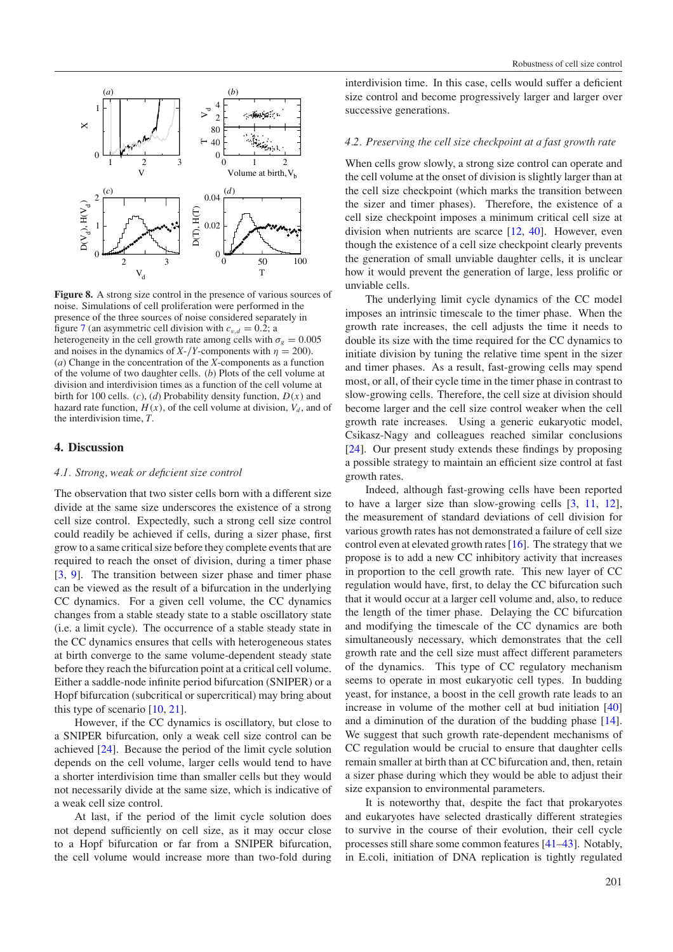<span id="page-7-0"></span>

**Figure 8.** A strong size control in the presence of various sources of noise. Simulations of cell proliferation were performed in the presence of the three sources of noise considered separately in figure [7](#page-6-0) (an asymmetric cell division with  $c_{v,d} = 0.2$ ; a heterogeneity in the cell growth rate among cells with  $\sigma_g = 0.005$ and noises in the dynamics of  $X$ -/ $Y$ -components with  $\eta = 200$ ). (*a*) Change in the concentration of the *X*-components as a function of the volume of two daughter cells. (*b*) Plots of the cell volume at division and interdivision times as a function of the cell volume at birth for 100 cells. (*c*), (*d*) Probability density function, *D(x)* and hazard rate function,  $H(x)$ , of the cell volume at division,  $V_d$ , and of the interdivision time, *T*.

## **4. Discussion**

#### *4.1. Strong, weak or deficient size control*

The observation that two sister cells born with a different size divide at the same size underscores the existence of a strong cell size control. Expectedly, such a strong cell size control could readily be achieved if cells, during a sizer phase, first grow to a same critical size before they complete events that are required to reach the onset of division, during a timer phase [\[3](#page-9-0), [9\]](#page-9-0). The transition between sizer phase and timer phase can be viewed as the result of a bifurcation in the underlying CC dynamics. For a given cell volume, the CC dynamics changes from a stable steady state to a stable oscillatory state (i.e. a limit cycle). The occurrence of a stable steady state in the CC dynamics ensures that cells with heterogeneous states at birth converge to the same volume-dependent steady state before they reach the bifurcation point at a critical cell volume. Either a saddle-node infinite period bifurcation (SNIPER) or a Hopf bifurcation (subcritical or supercritical) may bring about this type of scenario [\[10](#page-9-0), [21](#page-9-0)].

However, if the CC dynamics is oscillatory, but close to a SNIPER bifurcation, only a weak cell size control can be achieved [\[24](#page-9-0)]. Because the period of the limit cycle solution depends on the cell volume, larger cells would tend to have a shorter interdivision time than smaller cells but they would not necessarily divide at the same size, which is indicative of a weak cell size control.

At last, if the period of the limit cycle solution does not depend sufficiently on cell size, as it may occur close to a Hopf bifurcation or far from a SNIPER bifurcation, the cell volume would increase more than two-fold during interdivision time. In this case, cells would suffer a deficient size control and become progressively larger and larger over successive generations.

## *4.2. Preserving the cell size checkpoint at a fast growth rate*

When cells grow slowly, a strong size control can operate and the cell volume at the onset of division is slightly larger than at the cell size checkpoint (which marks the transition between the sizer and timer phases). Therefore, the existence of a cell size checkpoint imposes a minimum critical cell size at division when nutrients are scarce [\[12](#page-9-0), [40\]](#page-10-0). However, even though the existence of a cell size checkpoint clearly prevents the generation of small unviable daughter cells, it is unclear how it would prevent the generation of large, less prolific or unviable cells.

The underlying limit cycle dynamics of the CC model imposes an intrinsic timescale to the timer phase. When the growth rate increases, the cell adjusts the time it needs to double its size with the time required for the CC dynamics to initiate division by tuning the relative time spent in the sizer and timer phases. As a result, fast-growing cells may spend most, or all, of their cycle time in the timer phase in contrast to slow-growing cells. Therefore, the cell size at division should become larger and the cell size control weaker when the cell growth rate increases. Using a generic eukaryotic model, Csikasz-Nagy and colleagues reached similar conclusions [\[24](#page-9-0)]. Our present study extends these findings by proposing a possible strategy to maintain an efficient size control at fast growth rates.

Indeed, although fast-growing cells have been reported to have a larger size than slow-growing cells [\[3](#page-9-0), [11,](#page-9-0) [12](#page-9-0)], the measurement of standard deviations of cell division for various growth rates has not demonstrated a failure of cell size control even at elevated growth rates [\[16](#page-9-0)]. The strategy that we propose is to add a new CC inhibitory activity that increases in proportion to the cell growth rate. This new layer of CC regulation would have, first, to delay the CC bifurcation such that it would occur at a larger cell volume and, also, to reduce the length of the timer phase. Delaying the CC bifurcation and modifying the timescale of the CC dynamics are both simultaneously necessary, which demonstrates that the cell growth rate and the cell size must affect different parameters of the dynamics. This type of CC regulatory mechanism seems to operate in most eukaryotic cell types. In budding yeast, for instance, a boost in the cell growth rate leads to an increase in volume of the mother cell at bud initiation [\[40\]](#page-10-0) and a diminution of the duration of the budding phase [\[14](#page-9-0)]. We suggest that such growth rate-dependent mechanisms of CC regulation would be crucial to ensure that daughter cells remain smaller at birth than at CC bifurcation and, then, retain a sizer phase during which they would be able to adjust their size expansion to environmental parameters.

It is noteworthy that, despite the fact that prokaryotes and eukaryotes have selected drastically different strategies to survive in the course of their evolution, their cell cycle processes still share some common features [\[41–43](#page-10-0)]. Notably, in E.coli, initiation of DNA replication is tightly regulated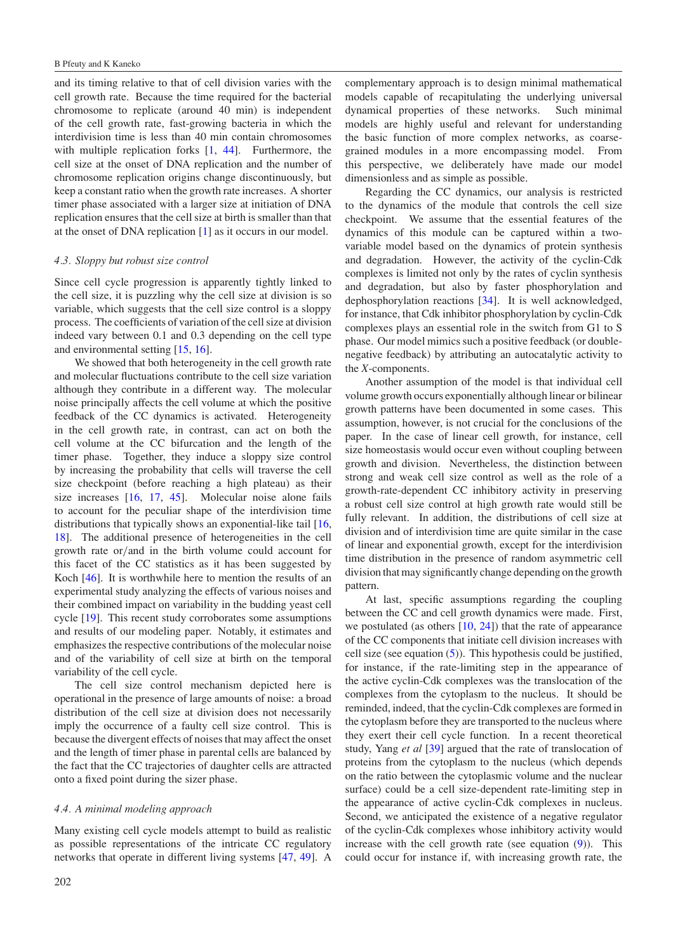and its timing relative to that of cell division varies with the cell growth rate. Because the time required for the bacterial chromosome to replicate (around 40 min) is independent of the cell growth rate, fast-growing bacteria in which the interdivision time is less than 40 min contain chromosomes with multiple replication forks [\[1](#page-9-0), [44](#page-10-0)]. Furthermore, the cell size at the onset of DNA replication and the number of chromosome replication origins change discontinuously, but keep a constant ratio when the growth rate increases. A shorter timer phase associated with a larger size at initiation of DNA replication ensures that the cell size at birth is smaller than that at the onset of DNA replication [\[1\]](#page-9-0) as it occurs in our model.

#### *4.3. Sloppy but robust size control*

Since cell cycle progression is apparently tightly linked to the cell size, it is puzzling why the cell size at division is so variable, which suggests that the cell size control is a sloppy process. The coefficients of variation of the cell size at division indeed vary between 0.1 and 0.3 depending on the cell type and environmental setting [\[15,](#page-9-0) [16\]](#page-9-0).

We showed that both heterogeneity in the cell growth rate and molecular fluctuations contribute to the cell size variation although they contribute in a different way. The molecular noise principally affects the cell volume at which the positive feedback of the CC dynamics is activated. Heterogeneity in the cell growth rate, in contrast, can act on both the cell volume at the CC bifurcation and the length of the timer phase. Together, they induce a sloppy size control by increasing the probability that cells will traverse the cell size checkpoint (before reaching a high plateau) as their size increases [\[16,](#page-9-0) [17,](#page-9-0) [45](#page-10-0)]. Molecular noise alone fails to account for the peculiar shape of the interdivision time distributions that typically shows an exponential-like tail [\[16,](#page-9-0) [18](#page-9-0)]. The additional presence of heterogeneities in the cell growth rate or*/*and in the birth volume could account for this facet of the CC statistics as it has been suggested by Koch [\[46](#page-10-0)]. It is worthwhile here to mention the results of an experimental study analyzing the effects of various noises and their combined impact on variability in the budding yeast cell cycle [\[19](#page-9-0)]. This recent study corroborates some assumptions and results of our modeling paper. Notably, it estimates and emphasizes the respective contributions of the molecular noise and of the variability of cell size at birth on the temporal variability of the cell cycle.

The cell size control mechanism depicted here is operational in the presence of large amounts of noise: a broad distribution of the cell size at division does not necessarily imply the occurrence of a faulty cell size control. This is because the divergent effects of noises that may affect the onset and the length of timer phase in parental cells are balanced by the fact that the CC trajectories of daughter cells are attracted onto a fixed point during the sizer phase.

## *4.4. A minimal modeling approach*

Many existing cell cycle models attempt to build as realistic as possible representations of the intricate CC regulatory networks that operate in different living systems [\[47](#page-10-0), [49](#page-10-0)]. A

complementary approach is to design minimal mathematical models capable of recapitulating the underlying universal dynamical properties of these networks. Such minimal models are highly useful and relevant for understanding the basic function of more complex networks, as coarsegrained modules in a more encompassing model. From this perspective, we deliberately have made our model dimensionless and as simple as possible.

Regarding the CC dynamics, our analysis is restricted to the dynamics of the module that controls the cell size checkpoint. We assume that the essential features of the dynamics of this module can be captured within a twovariable model based on the dynamics of protein synthesis and degradation. However, the activity of the cyclin-Cdk complexes is limited not only by the rates of cyclin synthesis and degradation, but also by faster phosphorylation and dephosphorylation reactions [\[34](#page-10-0)]. It is well acknowledged, for instance, that Cdk inhibitor phosphorylation by cyclin-Cdk complexes plays an essential role in the switch from G1 to S phase. Our model mimics such a positive feedback (or doublenegative feedback) by attributing an autocatalytic activity to the *X*-components.

Another assumption of the model is that individual cell volume growth occurs exponentially although linear or bilinear growth patterns have been documented in some cases. This assumption, however, is not crucial for the conclusions of the paper. In the case of linear cell growth, for instance, cell size homeostasis would occur even without coupling between growth and division. Nevertheless, the distinction between strong and weak cell size control as well as the role of a growth-rate-dependent CC inhibitory activity in preserving a robust cell size control at high growth rate would still be fully relevant. In addition, the distributions of cell size at division and of interdivision time are quite similar in the case of linear and exponential growth, except for the interdivision time distribution in the presence of random asymmetric cell division that may significantly change depending on the growth pattern.

At last, specific assumptions regarding the coupling between the CC and cell growth dynamics were made. First, we postulated (as others [\[10,](#page-9-0) [24\]](#page-9-0)) that the rate of appearance of the CC components that initiate cell division increases with cell size (see equation  $(5)$ ). This hypothesis could be justified, for instance, if the rate-limiting step in the appearance of the active cyclin-Cdk complexes was the translocation of the complexes from the cytoplasm to the nucleus. It should be reminded, indeed, that the cyclin-Cdk complexes are formed in the cytoplasm before they are transported to the nucleus where they exert their cell cycle function. In a recent theoretical study, Yang *et al* [\[39](#page-10-0)] argued that the rate of translocation of proteins from the cytoplasm to the nucleus (which depends on the ratio between the cytoplasmic volume and the nuclear surface) could be a cell size-dependent rate-limiting step in the appearance of active cyclin-Cdk complexes in nucleus. Second, we anticipated the existence of a negative regulator of the cyclin-Cdk complexes whose inhibitory activity would increase with the cell growth rate (see equation  $(9)$ ). This could occur for instance if, with increasing growth rate, the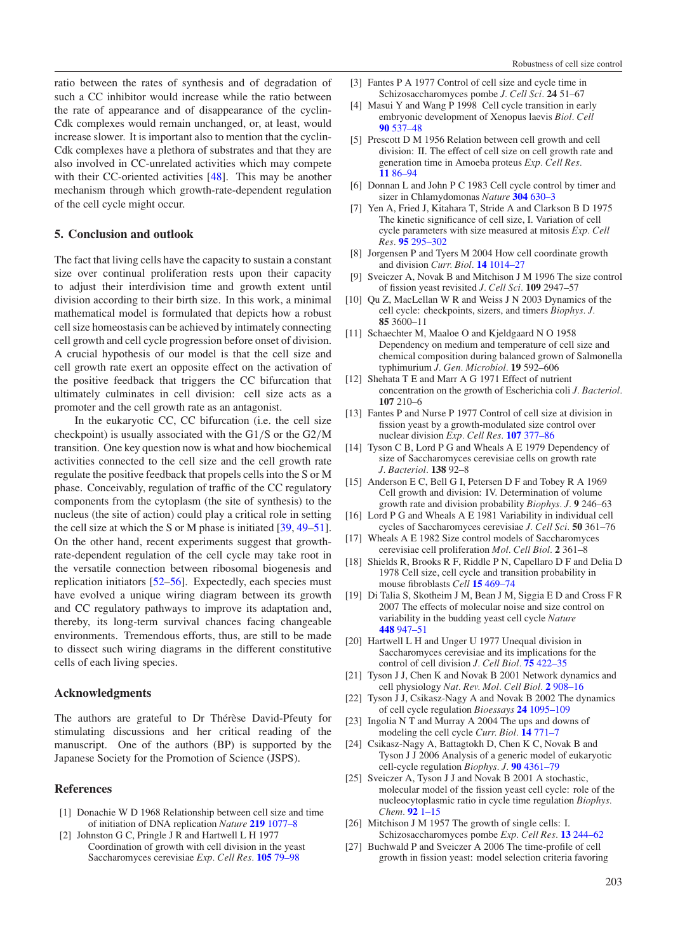<span id="page-9-0"></span>ratio between the rates of synthesis and of degradation of such a CC inhibitor would increase while the ratio between the rate of appearance and of disappearance of the cyclin-Cdk complexes would remain unchanged, or, at least, would increase slower. It is important also to mention that the cyclin-Cdk complexes have a plethora of substrates and that they are also involved in CC-unrelated activities which may compete with their CC-oriented activities [\[48](#page-10-0)]. This may be another mechanism through which growth-rate-dependent regulation of the cell cycle might occur.

## **5. Conclusion and outlook**

The fact that living cells have the capacity to sustain a constant size over continual proliferation rests upon their capacity to adjust their interdivision time and growth extent until division according to their birth size. In this work, a minimal mathematical model is formulated that depicts how a robust cell size homeostasis can be achieved by intimately connecting cell growth and cell cycle progression before onset of division. A crucial hypothesis of our model is that the cell size and cell growth rate exert an opposite effect on the activation of the positive feedback that triggers the CC bifurcation that ultimately culminates in cell division: cell size acts as a promoter and the cell growth rate as an antagonist.

In the eukaryotic CC, CC bifurcation (i.e. the cell size checkpoint) is usually associated with the G1*/*S or the G2*/*M transition. One key question now is what and how biochemical activities connected to the cell size and the cell growth rate regulate the positive feedback that propels cells into the S or M phase. Conceivably, regulation of traffic of the CC regulatory components from the cytoplasm (the site of synthesis) to the nucleus (the site of action) could play a critical role in setting the cell size at which the S or M phase is initiated [\[39,](#page-10-0) [49–51](#page-10-0)]. On the other hand, recent experiments suggest that growthrate-dependent regulation of the cell cycle may take root in the versatile connection between ribosomal biogenesis and replication initiators [\[52–56](#page-10-0)]. Expectedly, each species must have evolved a unique wiring diagram between its growth and CC regulatory pathways to improve its adaptation and, thereby, its long-term survival chances facing changeable environments. Tremendous efforts, thus, are still to be made to dissect such wiring diagrams in the different constitutive cells of each living species.

#### **Acknowledgments**

The authors are grateful to Dr Thérèse David-Pfeuty for stimulating discussions and her critical reading of the manuscript. One of the authors (BP) is supported by the Japanese Society for the Promotion of Science (JSPS).

#### **References**

- [1] Donachie W D 1968 Relationship between cell size and time of initiation of DNA replication *Nature* **219** [1077–8](http://dx.doi.org/10.1038/2191077a0)
- [2] Johnston G C, Pringle J R and Hartwell L H 1977 Coordination of growth with cell division in the yeast Saccharomyces cerevisiae *Exp. Cell Res.* **105** [79–98](http://dx.doi.org/10.1016/0014-4827(77)90154-9)
- [3] Fantes P A 1977 Control of cell size and cycle time in Schizosaccharomyces pombe *J. Cell Sci.* **24** 51–67
- [4] Masui Y and Wang P 1998 Cell cycle transition in early embryonic development of Xenopus laevis *Biol. Cell* **90** [537–48](http://dx.doi.org/10.1016/S0248-4900(99)80011-2)
- [5] Prescott D M 1956 Relation between cell growth and cell division: II. The effect of cell size on cell growth rate and generation time in Amoeba proteus *Exp. Cell Res.* **11** [86–94](http://dx.doi.org/10.1016/0014-4827(56)90192-6)
- [6] Donnan L and John P C 1983 Cell cycle control by timer and sizer in Chlamydomonas *Nature* **304** [630–3](http://dx.doi.org/10.1038/304630a0)
- [7] Yen A, Fried J, Kitahara T, Stride A and Clarkson B D 1975 The kinetic significance of cell size, I. Variation of cell cycle parameters with size measured at mitosis *Exp. Cell Res.* **95** [295–302](http://dx.doi.org/10.1016/0014-4827(75)90554-6)
- [8] Jorgensen P and Tyers M 2004 How cell coordinate growth and division *Curr. Biol.* **14** [1014–27](http://dx.doi.org/10.1016/j.cub.2004.11.027)
- [9] Sveiczer A, Novak B and Mitchison J M 1996 The size control of fission yeast revisited *J. Cell Sci.* **109** 2947–57
- [10] Qu Z, MacLellan W R and Weiss J N 2003 Dynamics of the cell cycle: checkpoints, sizers, and timers *Biophys. J.* **85** 3600–11
- [11] Schaechter M, Maaloe O and Kieldgaard N O 1958 Dependency on medium and temperature of cell size and chemical composition during balanced grown of Salmonella typhimurium *J. Gen. Microbiol.* **19** 592–606
- [12] Shehata T E and Marr A G 1971 Effect of nutrient concentration on the growth of Escherichia coli *J. Bacteriol.* **107** 210–6
- [13] Fantes P and Nurse P 1977 Control of cell size at division in fission yeast by a growth-modulated size control over nuclear division *Exp. Cell Res.* **107** [377–86](http://dx.doi.org/10.1016/0014-4827(77)90359-7)
- [14] Tyson C B, Lord P G and Wheals A E 1979 Dependency of size of Saccharomyces cerevisiae cells on growth rate *J. Bacteriol.* **138** 92–8
- [15] Anderson E C, Bell G I, Petersen D F and Tobey R A 1969 Cell growth and division: IV. Determination of volume growth rate and division probability *Biophys. J.* **9** 246–63
- [16] Lord P G and Wheals A E 1981 Variability in individual cell cycles of Saccharomyces cerevisiae *J. Cell Sci.* **50** 361–76
- [17] Wheals A E 1982 Size control models of Saccharomyces cerevisiae cell proliferation *Mol. Cell Biol.* **2** 361–8
- [18] Shields R, Brooks R F, Riddle P N, Capellaro D F and Delia D 1978 Cell size, cell cycle and transition probability in mouse fibroblasts *Cell* **15** [469–74](http://dx.doi.org/10.1016/0092-8674(78)90016-8)
- [19] Di Talia S, Skotheim J M, Bean J M, Siggia E D and Cross F R 2007 The effects of molecular noise and size control on variability in the budding yeast cell cycle *Nature* **448** [947–51](http://dx.doi.org/10.1038/nature06072)
- [20] Hartwell L H and Unger U 1977 Unequal division in Saccharomyces cerevisiae and its implications for the control of cell division *J. Cell Biol.* **75** [422–35](http://dx.doi.org/10.1083/jcb.75.2.422)
- [21] Tyson J J, Chen K and Novak B 2001 Network dynamics and cell physiology *Nat. Rev. Mol. Cell Biol.* **2** [908–16](http://dx.doi.org/10.1038/35103078)
- [22] Tyson J J, Csikasz-Nagy A and Novak B 2002 The dynamics of cell cycle regulation *Bioessays* **24** [1095–109](http://dx.doi.org/10.1002/bies.10191)
- [23] Ingolia N T and Murray A 2004 The ups and downs of modeling the cell cycle *Curr. Biol.* **14** [771–7](http://dx.doi.org/10.1016/j.cub.2004.09.018)
- [24] Csikasz-Nagy A, Battagtokh D, Chen K C, Novak B and Tyson J J 2006 Analysis of a generic model of eukaryotic cell-cycle regulation *Biophys. J.* **90** [4361–79](http://dx.doi.org/10.1529/biophysj.106.081240)
- [25] Sveiczer A, Tyson J J and Novak B 2001 A stochastic, molecular model of the fission yeast cell cycle: role of the nucleocytoplasmic ratio in cycle time regulation *Biophys. Chem.* **92** [1–15](http://dx.doi.org/10.1016/S0301-4622(01)00183-1)
- [26] Mitchison J M 1957 The growth of single cells: I. Schizosaccharomyces pombe *Exp. Cell Res.* **13** [244–62](http://dx.doi.org/10.1016/0014-4827(57)90005-8)
- [27] Buchwald P and Sveiczer A 2006 The time-profile of cell growth in fission yeast: model selection criteria favoring